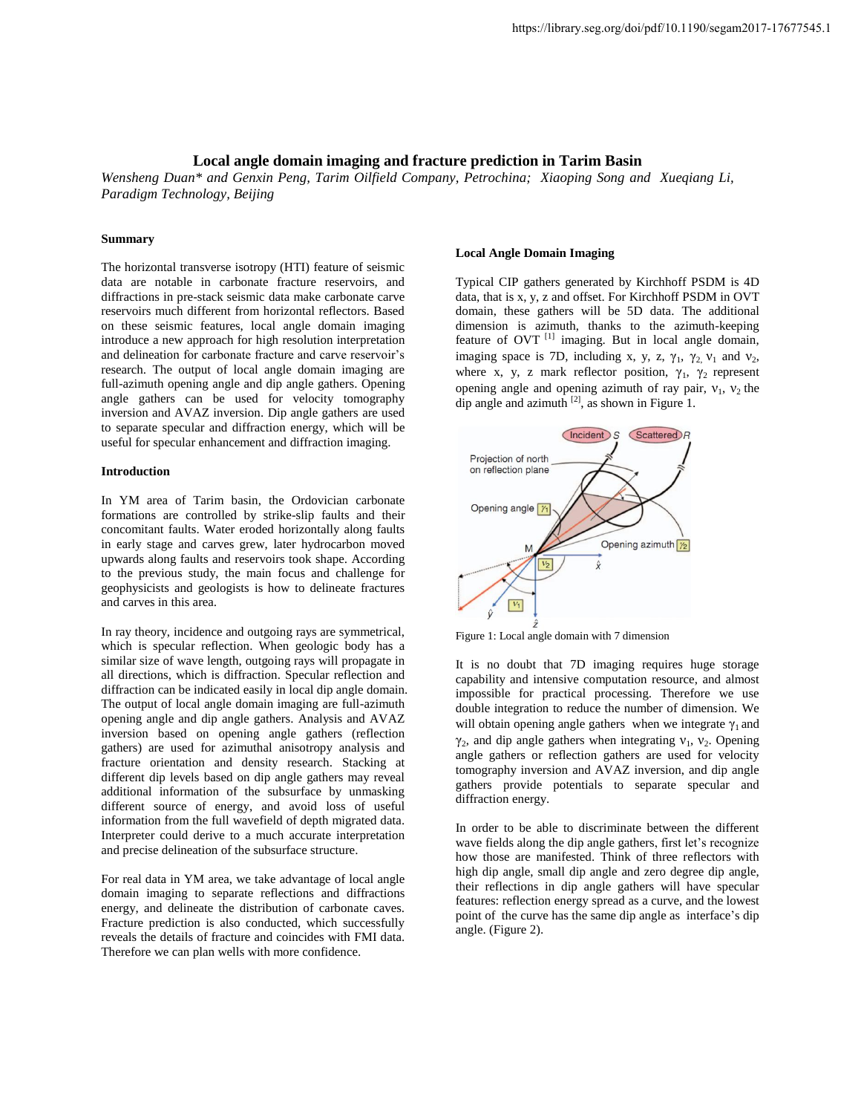### **Local angle domain imaging and fracture prediction in Tarim Basin**

*Wensheng Duan\* and Genxin Peng, Tarim Oilfield Company, Petrochina; Xiaoping Song and Xueqiang Li, Paradigm Technology, Beijing* 

### **Summary**

The horizontal transverse isotropy (HTI) feature of seismic data are notable in carbonate fracture reservoirs, and diffractions in pre-stack seismic data make carbonate carve reservoirs much different from horizontal reflectors. Based on these seismic features, local angle domain imaging introduce a new approach for high resolution interpretation and delineation for carbonate fracture and carve reservoir's research. The output of local angle domain imaging are full-azimuth opening angle and dip angle gathers. Opening angle gathers can be used for velocity tomography inversion and AVAZ inversion. Dip angle gathers are used to separate specular and diffraction energy, which will be useful for specular enhancement and diffraction imaging.

#### **Introduction**

In YM area of Tarim basin, the Ordovician carbonate formations are controlled by strike-slip faults and their concomitant faults. Water eroded horizontally along faults in early stage and carves grew, later hydrocarbon moved upwards along faults and reservoirs took shape. According to the previous study, the main focus and challenge for geophysicists and geologists is how to delineate fractures and carves in this area.

In ray theory, incidence and outgoing rays are symmetrical, which is specular reflection. When geologic body has a similar size of wave length, outgoing rays will propagate in all directions, which is diffraction. Specular reflection and diffraction can be indicated easily in local dip angle domain. The output of local angle domain imaging are full-azimuth opening angle and dip angle gathers. Analysis and AVAZ inversion based on opening angle gathers (reflection gathers) are used for azimuthal anisotropy analysis and fracture orientation and density research. Stacking at different dip levels based on dip angle gathers may reveal additional information of the subsurface by unmasking different source of energy, and avoid loss of useful information from the full wavefield of depth migrated data. Interpreter could derive to a much accurate interpretation and precise delineation of the subsurface structure.

For real data in YM area, we take advantage of local angle domain imaging to separate reflections and diffractions energy, and delineate the distribution of carbonate caves. Fracture prediction is also conducted, which successfully reveals the details of fracture and coincides with FMI data. Therefore we can plan wells with more confidence.

#### **Local Angle Domain Imaging**

Typical CIP gathers generated by Kirchhoff PSDM is 4D data, that is x, y, z and offset. For Kirchhoff PSDM in OVT domain, these gathers will be 5D data. The additional dimension is azimuth, thanks to the azimuth-keeping feature of OVT<sup>[1]</sup> imaging. But in local angle domain, imaging space is 7D, including x, y, z,  $\gamma_1$ ,  $\gamma_2$ ,  $\nu_1$  and  $\nu_2$ , where x, y, z mark reflector position,  $\gamma_1$ ,  $\gamma_2$  represent opening angle and opening azimuth of ray pair,  $v_1$ ,  $v_2$  the dip angle and azimuth  $^{[2]}$ , as shown in Figure 1.



Figure 1: Local angle domain with 7 dimension

It is no doubt that 7D imaging requires huge storage capability and intensive computation resource, and almost impossible for practical processing. Therefore we use double integration to reduce the number of dimension. We will obtain opening angle gathers when we integrate  $\gamma_1$  and  $\gamma_2$ , and dip angle gathers when integrating  $v_1$ ,  $v_2$ . Opening angle gathers or reflection gathers are used for velocity tomography inversion and AVAZ inversion, and dip angle gathers provide potentials to separate specular and diffraction energy.

In order to be able to discriminate between the different wave fields along the dip angle gathers, first let's recognize how those are manifested. Think of three reflectors with high dip angle, small dip angle and zero degree dip angle, their reflections in dip angle gathers will have specular features: reflection energy spread as a curve, and the lowest point of the curve has the same dip angle as interface's dip angle. (Figure 2).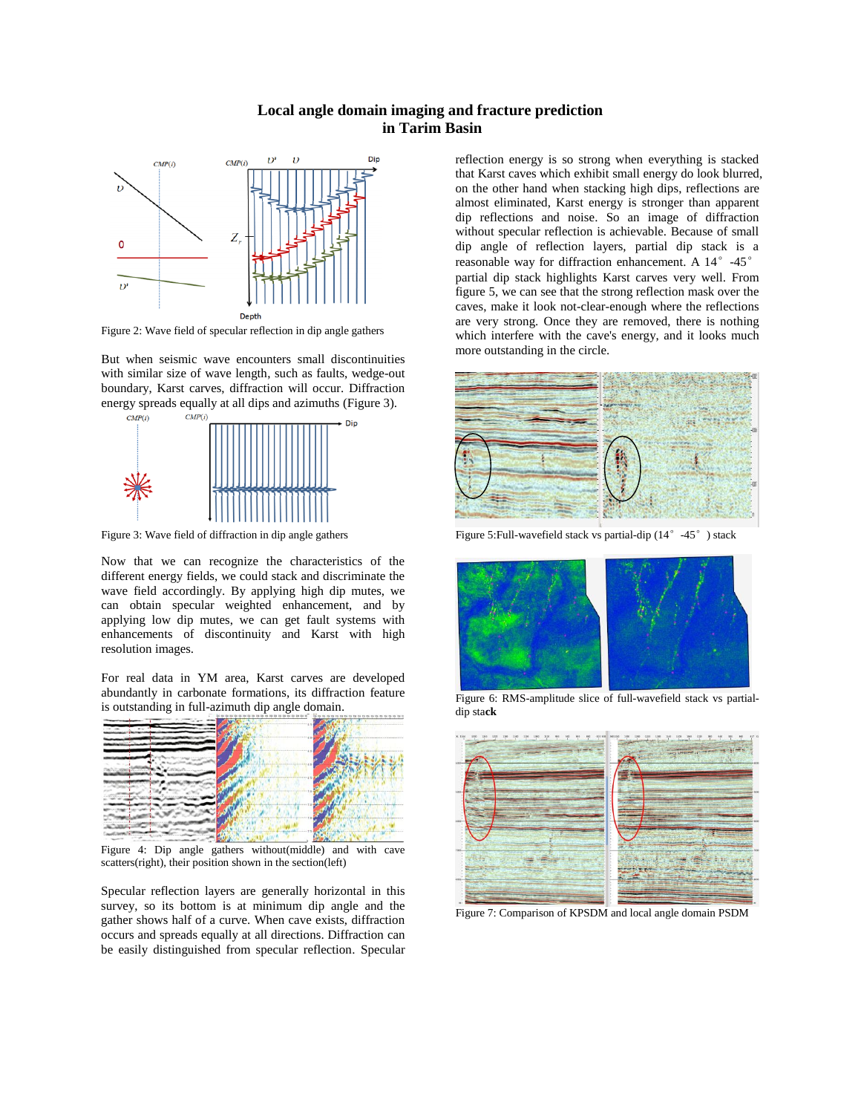# **Local angle domain imaging and fracture prediction in Tarim Basin**



Figure 2: Wave field of specular reflection in dip angle gathers

But when seismic wave encounters small discontinuities with similar size of wave length, such as faults, wedge-out boundary, Karst carves, diffraction will occur. Diffraction energy spreads equally at all dips and azimuths (Figure 3).<br> $CMP(i)$ 



Figure 3: Wave field of diffraction in dip angle gathers

Now that we can recognize the characteristics of the different energy fields, we could stack and discriminate the wave field accordingly. By applying high dip mutes, we can obtain specular weighted enhancement, and by applying low dip mutes, we can get fault systems with enhancements of discontinuity and Karst with high resolution images.

For real data in YM area, Karst carves are developed abundantly in carbonate formations, its diffraction feature is outstanding in full-azimuth dip angle domain.



Figure 4: Dip angle gathers without(middle) and with cave scatters(right), their position shown in the section(left)

Specular reflection layers are generally horizontal in this survey, so its bottom is at minimum dip angle and the gather shows half of a curve. When cave exists, diffraction occurs and spreads equally at all directions. Diffraction can be easily distinguished from specular reflection. Specular

reflection energy is so strong when everything is stacked that Karst caves which exhibit small energy do look blurred, on the other hand when stacking high dips, reflections are almost eliminated, Karst energy is stronger than apparent dip reflections and noise. So an image of diffraction without specular reflection is achievable. Because of small dip angle of reflection layers, partial dip stack is a reasonable way for diffraction enhancement. A 14°-45° partial dip stack highlights Karst carves very well. From figure 5, we can see that the strong reflection mask over the caves, make it look not-clear-enough where the reflections are very strong. Once they are removed, there is nothing which interfere with the cave's energy, and it looks much more outstanding in the circle.



Figure 5: Full-wavefield stack vs partial-dip (14°-45°) stack



Figure 6: RMS-amplitude slice of full-wavefield stack vs partialdip sta**ck**



Figure 7: Comparison of KPSDM and local angle domain PSDM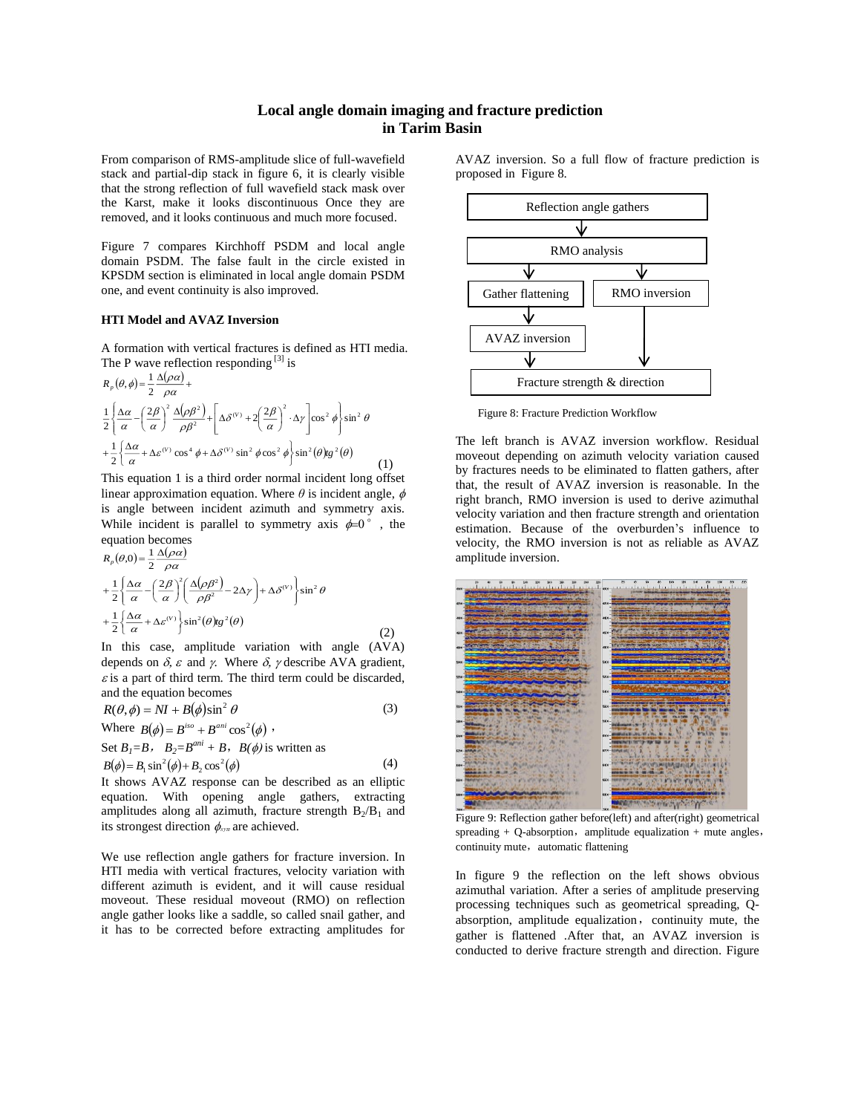# **Local angle domain imaging and fracture prediction in Tarim Basin**

From comparison of RMS-amplitude slice of full-wavefield stack and partial-dip stack in figure 6, it is clearly visible that the strong reflection of full wavefield stack mask over the Karst, make it looks discontinuous Once they are removed, and it looks continuous and much more focused.

Figure 7 compares Kirchhoff PSDM and local angle domain PSDM. The false fault in the circle existed in KPSDM section is eliminated in local angle domain PSDM one, and event continuity is also improved.

### **HTI Model and AVAZ Inversion**

A formation with vertical fractures is defined as HTI media. The P wave reflection responding  $^{[3]}$  is

$$
R_p(\theta, \phi) = \frac{1}{2} \frac{\Delta(\rho \alpha)}{\rho \alpha} + \frac{1}{2} \left\{ \frac{\Delta \alpha}{\alpha} - \left(\frac{2\beta}{\alpha}\right)^2 \frac{\Delta(\rho \beta^2)}{\rho \beta^2} + \left[\Delta \delta^{(V)} + 2\left(\frac{2\beta}{\alpha}\right)^2 \cdot \Delta \gamma\right] \cos^2 \phi \right\} \sin^2 \theta + \frac{1}{2} \left\{ \frac{\Delta \alpha}{\alpha} + \Delta \delta^{(V)} \cos^4 \phi + \Delta \delta^{(V)} \sin^2 \phi \cos^2 \phi \right\} \sin^2(\theta) g^2(\theta)
$$
(1)

This equation 1 is a third order normal incident long offset linear approximation equation. Where  $\theta$  is incident angle,  $\phi$ is angle between incident azimuth and symmetry axis. While incident is parallel to symmetry axis  $\phi=0^{\degree}$ , the equation becomes

$$
R_p(\theta,0) = \frac{1}{2} \frac{\Delta(\rho \alpha)}{\rho \alpha}
$$
  
+ 
$$
\frac{1}{2} \left\{ \frac{\Delta \alpha}{\alpha} - \left(\frac{2\beta}{\alpha}\right)^2 \left(\frac{\Delta(\rho \beta^2)}{\rho \beta^2} - 2\Delta \gamma\right) + \Delta \delta^{(V)} \right\} \sin^2 \theta
$$
  
+ 
$$
\frac{1}{2} \left\{ \frac{\Delta \alpha}{\alpha} + \Delta \epsilon^{(V)} \right\} \sin^2(\theta) g^2(\theta)
$$
 (2)

In this case, amplitude variation with angle (AVA) depends on  $\delta$ ,  $\varepsilon$  and  $\gamma$ . Where  $\delta$ ,  $\gamma$  describe AVA gradient,  $\varepsilon$  is a part of third term. The third term could be discarded, and the equation becomes

$$
R(\theta, \phi) = NI + B(\phi)\sin^2\theta \tag{3}
$$

Where 
$$
B(\phi) = B^{iso} + B^{ani} \cos^2(\phi)
$$
,

Set  $B_1 = B$ ,  $B_2 = B^{ani} + B$ ,  $B(\phi)$  is written as

$$
B(\phi) = B_1 \sin^2(\phi) + B_2 \cos^2(\phi) \tag{4}
$$

It shows AVAZ response can be described as an elliptic equation. With opening angle gathers, extracting amplitudes along all azimuth, fracture strength  $B_2/B_1$  and its strongest direction  $\phi_{sym}$  are achieved.

We use reflection angle gathers for fracture inversion. In HTI media with vertical fractures, velocity variation with different azimuth is evident, and it will cause residual moveout. These residual moveout (RMO) on reflection angle gather looks like a saddle, so called snail gather, and it has to be corrected before extracting amplitudes for AVAZ inversion. So a full flow of fracture prediction is proposed in Figure 8.



Figure 8: Fracture Prediction Workflow

The left branch is AVAZ inversion workflow. Residual moveout depending on azimuth velocity variation caused by fractures needs to be eliminated to flatten gathers, after that, the result of AVAZ inversion is reasonable. In the right branch, RMO inversion is used to derive azimuthal velocity variation and then fracture strength and orientation estimation. Because of the overburden's influence to velocity, the RMO inversion is not as reliable as AVAZ amplitude inversion.



Figure 9: Reflection gather before(left) and after(right) geometrical spreading  $+$  O-absorption, amplitude equalization  $+$  mute angles, continuity mute, automatic flattening

In figure 9 the reflection on the left shows obvious azimuthal variation. After a series of amplitude preserving processing techniques such as geometrical spreading, Qabsorption, amplitude equalization, continuity mute, the gather is flattened .After that, an AVAZ inversion is conducted to derive fracture strength and direction. Figure